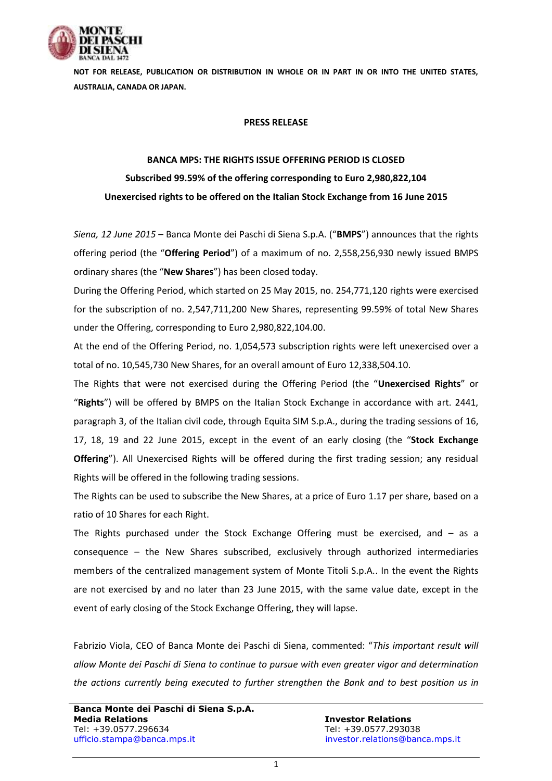

**NOT FOR RELEASE, PUBLICATION OR DISTRIBUTION IN WHOLE OR IN PART IN OR INTO THE UNITED STATES, AUSTRALIA, CANADA OR JAPAN.**

## **PRESS RELEASE**

## **BANCA MPS: THE RIGHTS ISSUE OFFERING PERIOD IS CLOSED Subscribed 99.59% of the offering corresponding to Euro 2,980,822,104 Unexercised rights to be offered on the Italian Stock Exchange from 16 June 2015**

*Siena, 12 June 2015* – Banca Monte dei Paschi di Siena S.p.A. ("**BMPS**") announces that the rights offering period (the "**Offering Period**") of a maximum of no. 2,558,256,930 newly issued BMPS ordinary shares (the "**New Shares**") has been closed today.

During the Offering Period, which started on 25 May 2015, no. 254,771,120 rights were exercised for the subscription of no. 2,547,711,200 New Shares, representing 99.59% of total New Shares under the Offering, corresponding to Euro 2,980,822,104.00.

At the end of the Offering Period, no. 1,054,573 subscription rights were left unexercised over a total of no. 10,545,730 New Shares, for an overall amount of Euro 12,338,504.10.

The Rights that were not exercised during the Offering Period (the "**Unexercised Rights**" or "**Rights**") will be offered by BMPS on the Italian Stock Exchange in accordance with art. 2441, paragraph 3, of the Italian civil code, through Equita SIM S.p.A., during the trading sessions of 16, 17, 18, 19 and 22 June 2015, except in the event of an early closing (the "**Stock Exchange Offering**"). All Unexercised Rights will be offered during the first trading session; any residual Rights will be offered in the following trading sessions.

The Rights can be used to subscribe the New Shares, at a price of Euro 1.17 per share, based on a ratio of 10 Shares for each Right.

The Rights purchased under the Stock Exchange Offering must be exercised, and – as a consequence – the New Shares subscribed, exclusively through authorized intermediaries members of the centralized management system of Monte Titoli S.p.A.. In the event the Rights are not exercised by and no later than 23 June 2015, with the same value date, except in the event of early closing of the Stock Exchange Offering, they will lapse.

Fabrizio Viola, CEO of Banca Monte dei Paschi di Siena, commented: "*This important result will allow Monte dei Paschi di Siena to continue to pursue with even greater vigor and determination the actions currently being executed to further strengthen the Bank and to best position us in*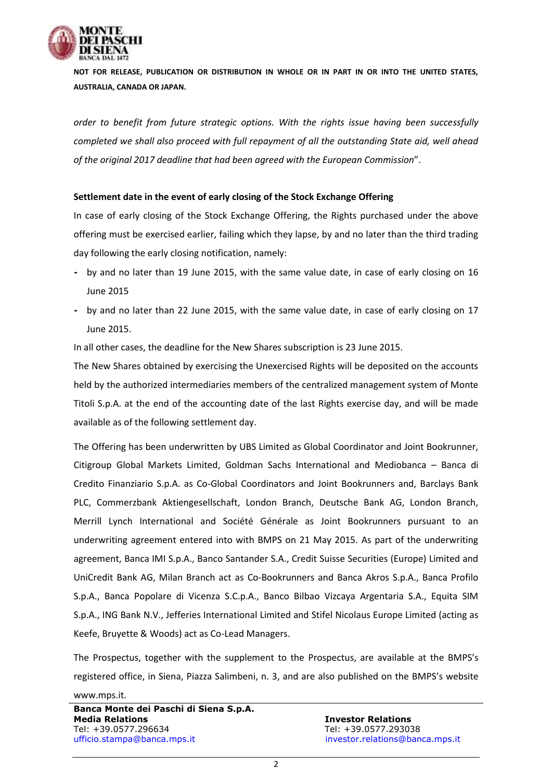

**NOT FOR RELEASE, PUBLICATION OR DISTRIBUTION IN WHOLE OR IN PART IN OR INTO THE UNITED STATES, AUSTRALIA, CANADA OR JAPAN.**

*order to benefit from future strategic options. With the rights issue having been successfully completed we shall also proceed with full repayment of all the outstanding State aid, well ahead of the original 2017 deadline that had been agreed with the European Commission*".

## **Settlement date in the event of early closing of the Stock Exchange Offering**

In case of early closing of the Stock Exchange Offering, the Rights purchased under the above offering must be exercised earlier, failing which they lapse, by and no later than the third trading day following the early closing notification, namely:

- **-** by and no later than 19 June 2015, with the same value date, in case of early closing on 16 June 2015
- **-** by and no later than 22 June 2015, with the same value date, in case of early closing on 17 June 2015.

In all other cases, the deadline for the New Shares subscription is 23 June 2015.

The New Shares obtained by exercising the Unexercised Rights will be deposited on the accounts held by the authorized intermediaries members of the centralized management system of Monte Titoli S.p.A. at the end of the accounting date of the last Rights exercise day, and will be made available as of the following settlement day.

The Offering has been underwritten by UBS Limited as Global Coordinator and Joint Bookrunner, Citigroup Global Markets Limited, Goldman Sachs International and Mediobanca – Banca di Credito Finanziario S.p.A. as Co-Global Coordinators and Joint Bookrunners and, Barclays Bank PLC, Commerzbank Aktiengesellschaft, London Branch, Deutsche Bank AG, London Branch, Merrill Lynch International and Société Générale as Joint Bookrunners pursuant to an underwriting agreement entered into with BMPS on 21 May 2015. As part of the underwriting agreement, Banca IMI S.p.A., Banco Santander S.A., Credit Suisse Securities (Europe) Limited and UniCredit Bank AG, Milan Branch act as Co-Bookrunners and Banca Akros S.p.A., Banca Profilo S.p.A., Banca Popolare di Vicenza S.C.p.A., Banco Bilbao Vizcaya Argentaria S.A., Equita SIM S.p.A., ING Bank N.V., Jefferies International Limited and Stifel Nicolaus Europe Limited (acting as Keefe, Bruyette & Woods) act as Co-Lead Managers.

The Prospectus, together with the supplement to the Prospectus, are available at the BMPS's registered office, in Siena, Piazza Salimbeni, n. 3, and are also published on the BMPS's website

## [www.mps.it.](http://www.mps.it/)